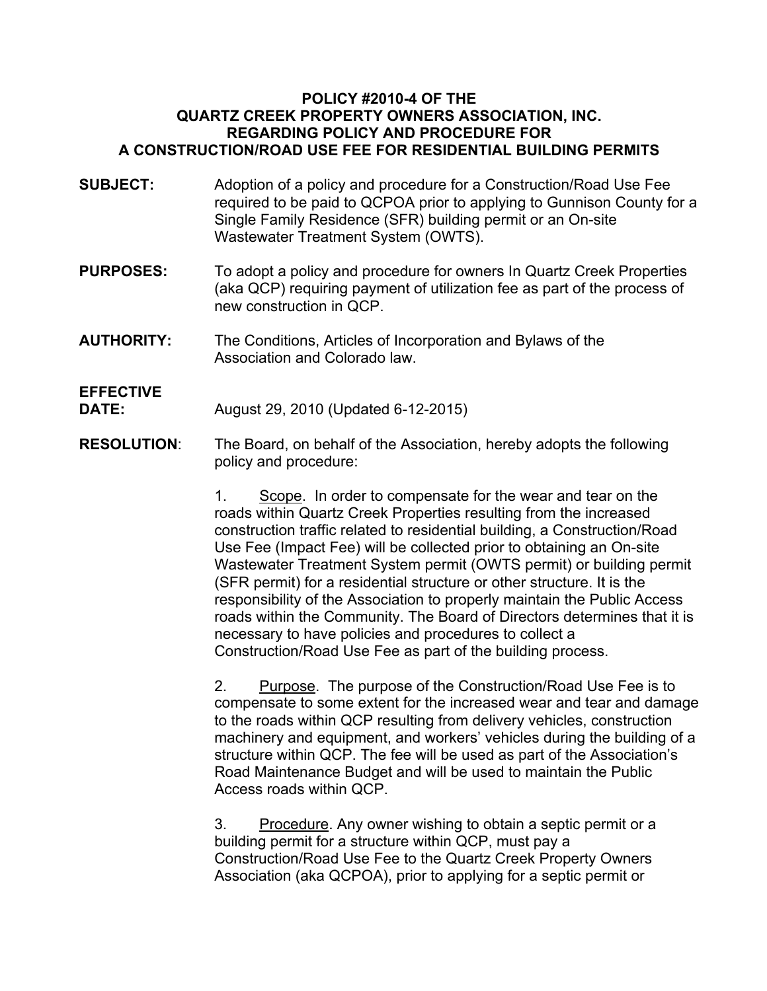## **POLICY #2010-4 OF THE QUARTZ CREEK PROPERTY OWNERS ASSOCIATION, INC. REGARDING POLICY AND PROCEDURE FOR A CONSTRUCTION/ROAD USE FEE FOR RESIDENTIAL BUILDING PERMITS**

- **SUBJECT:** Adoption of a policy and procedure for a Construction/Road Use Fee required to be paid to QCPOA prior to applying to Gunnison County for a Single Family Residence (SFR) building permit or an On-site Wastewater Treatment System (OWTS).
- **PURPOSES:** To adopt a policy and procedure for owners In Quartz Creek Properties (aka QCP) requiring payment of utilization fee as part of the process of new construction in QCP.
- **AUTHORITY:** The Conditions, Articles of Incorporation and Bylaws of the Association and Colorado law.

## **EFFECTIVE**

**DATE:** August 29, 2010 (Updated 6-12-2015)

**RESOLUTION**: The Board, on behalf of the Association, hereby adopts the following policy and procedure:

> 1. Scope. In order to compensate for the wear and tear on the roads within Quartz Creek Properties resulting from the increased construction traffic related to residential building, a Construction/Road Use Fee (Impact Fee) will be collected prior to obtaining an On-site Wastewater Treatment System permit (OWTS permit) or building permit (SFR permit) for a residential structure or other structure. It is the responsibility of the Association to properly maintain the Public Access roads within the Community. The Board of Directors determines that it is necessary to have policies and procedures to collect a Construction/Road Use Fee as part of the building process.

> 2. Purpose. The purpose of the Construction/Road Use Fee is to compensate to some extent for the increased wear and tear and damage to the roads within QCP resulting from delivery vehicles, construction machinery and equipment, and workers' vehicles during the building of a structure within QCP. The fee will be used as part of the Association's Road Maintenance Budget and will be used to maintain the Public Access roads within QCP.

3. Procedure. Any owner wishing to obtain a septic permit or a building permit for a structure within QCP, must pay a Construction/Road Use Fee to the Quartz Creek Property Owners Association (aka QCPOA), prior to applying for a septic permit or